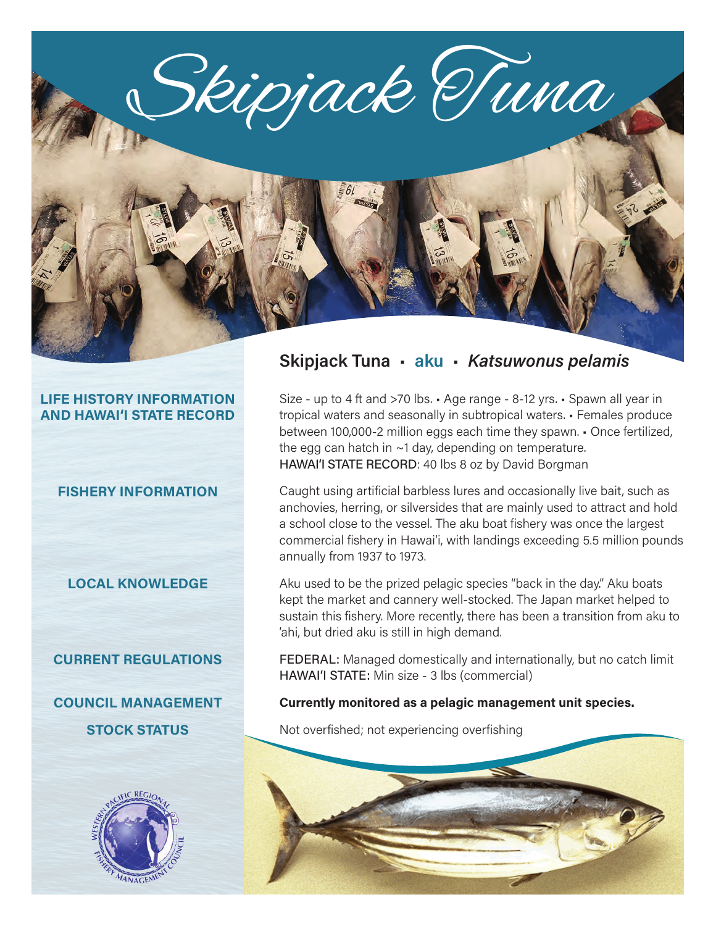Skipjack Tuna

## **LIFE HISTORY INFORMATION AND HAWAI'I STATE RECORD**

#### **FISHERY INFORMATION**

#### **LOCAL KNOWLEDGE**

#### **CURRENT REGULATIONS**

**COUNCIL MANAGEMENT STOCK STATUS**



# **Skipjack Tuna** • **aku** • *Katsuwonus pelamis*

Size - up to 4 ft and >70 lbs. • Age range - 8-12 yrs. • Spawn all year in tropical waters and seasonally in subtropical waters. • Females produce between 100,000-2 million eggs each time they spawn. • Once fertilized, the egg can hatch in  $\sim$ 1 day, depending on temperature. HAWAI'I STATE RECORD: 40 lbs 8 oz by David Borgman

Caught using artificial barbless lures and occasionally live bait, such as anchovies, herring, or silversides that are mainly used to attract and hold a school close to the vessel. The aku boat fishery was once the largest commercial fishery in Hawai'i, with landings exceeding 5.5 million pounds annually from 1937 to 1973.

Aku used to be the prized pelagic species "back in the day." Aku boats kept the market and cannery well-stocked. The Japan market helped to sustain this fishery. More recently, there has been a transition from aku to 'ahi, but dried aku is still in high demand.

FEDERAL: Managed domestically and internationally, but no catch limit HAWAI'I STATE: Min size - 3 lbs (commercial)

#### **Currently monitored as a pelagic management unit species.**

Not overfished; not experiencing overfishing